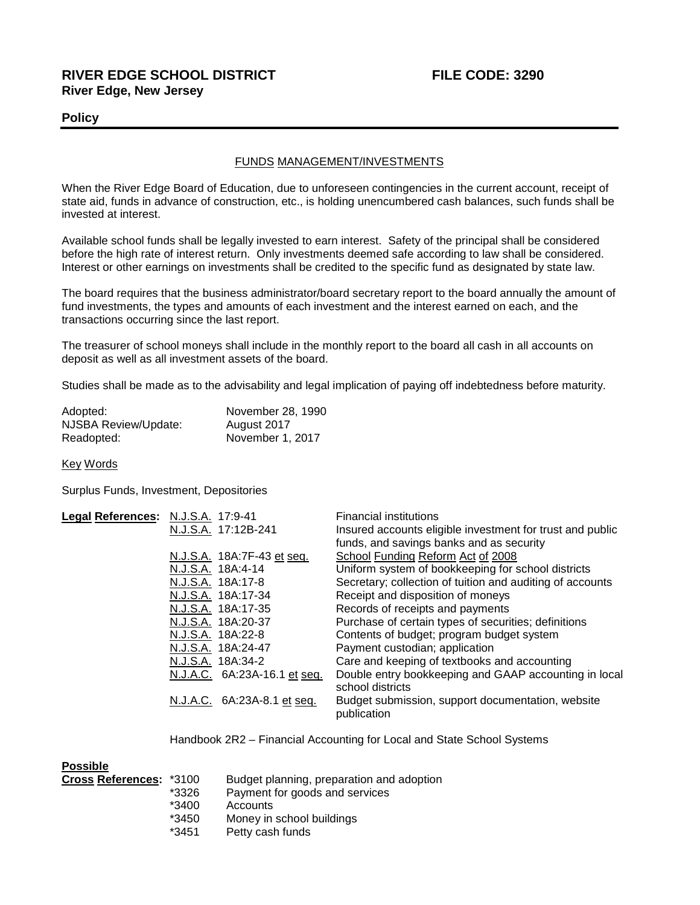## **RIVER EDGE SCHOOL DISTRICT FILE CODE: 3290 River Edge, New Jersey**

### **Policy**

### FUNDS MANAGEMENT/INVESTMENTS

When the River Edge Board of Education, due to unforeseen contingencies in the current account, receipt of state aid, funds in advance of construction, etc., is holding unencumbered cash balances, such funds shall be invested at interest.

Available school funds shall be legally invested to earn interest. Safety of the principal shall be considered before the high rate of interest return. Only investments deemed safe according to law shall be considered. Interest or other earnings on investments shall be credited to the specific fund as designated by state law.

The board requires that the business administrator/board secretary report to the board annually the amount of fund investments, the types and amounts of each investment and the interest earned on each, and the transactions occurring since the last report.

The treasurer of school moneys shall include in the monthly report to the board all cash in all accounts on deposit as well as all investment assets of the board.

Studies shall be made as to the advisability and legal implication of paying off indebtedness before maturity.

| Adopted:             | November 28, 1990 |
|----------------------|-------------------|
| NJSBA Review/Update: | August 2017       |
| Readopted:           | November 1, 2017  |

Key Words

Surplus Funds, Investment, Depositories

| N.J.S.A. 17:12B-241<br>Insured accounts eligible investment for trust and public      |  |
|---------------------------------------------------------------------------------------|--|
|                                                                                       |  |
| funds, and savings banks and as security                                              |  |
| School Funding Reform Act of 2008<br>N.J.S.A. 18A:7F-43 et seq.                       |  |
| Uniform system of bookkeeping for school districts<br>N.J.S.A. 18A:4-14               |  |
| Secretary; collection of tuition and auditing of accounts<br>N.J.S.A. 18A:17-8        |  |
| N.J.S.A. 18A:17-34<br>Receipt and disposition of moneys                               |  |
| Records of receipts and payments<br>N.J.S.A. 18A:17-35                                |  |
| Purchase of certain types of securities; definitions<br>N.J.S.A. 18A:20-37            |  |
| Contents of budget; program budget system<br>N.J.S.A. 18A:22-8                        |  |
| Payment custodian; application<br>N.J.S.A. 18A:24-47                                  |  |
| Care and keeping of textbooks and accounting<br>N.J.S.A. 18A:34-2                     |  |
| Double entry bookkeeping and GAAP accounting in local<br>N.J.A.C. 6A:23A-16.1 et seq. |  |
| school districts                                                                      |  |
| N.J.A.C. 6A:23A-8.1 et seq.<br>Budget submission, support documentation, website      |  |
| publication                                                                           |  |

Handbook 2R2 – Financial Accounting for Local and State School Systems

| <b>Possible</b>         |         |                                           |
|-------------------------|---------|-------------------------------------------|
| Cross References: *3100 |         | Budget planning, preparation and adoption |
|                         | *3326   | Payment for goods and services            |
|                         | $*3400$ | Accounts                                  |
|                         | *3450   | Money in school buildings                 |
|                         | *3451   | Petty cash funds                          |